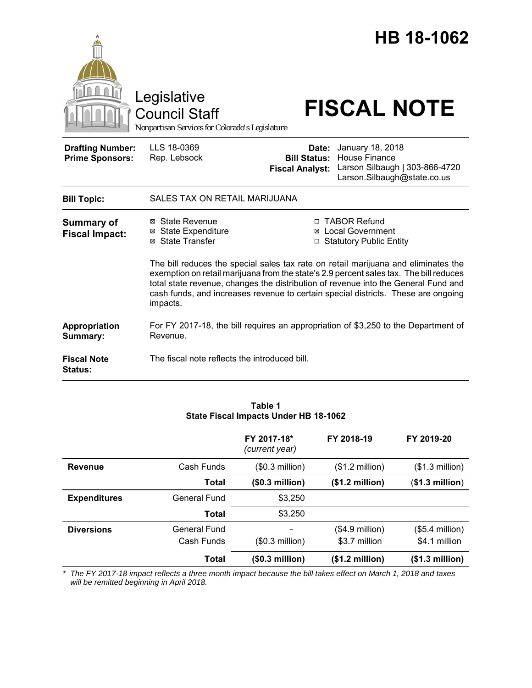|                                                   | Legislative<br><b>Council Staff</b><br>Nonpartisan Services for Colorado's Legislature |                                                        | HB 18-1062<br><b>FISCAL NOTE</b>                                                                                                                                                                                                                                                                                                                        |
|---------------------------------------------------|----------------------------------------------------------------------------------------|--------------------------------------------------------|---------------------------------------------------------------------------------------------------------------------------------------------------------------------------------------------------------------------------------------------------------------------------------------------------------------------------------------------------------|
| <b>Drafting Number:</b><br><b>Prime Sponsors:</b> | LLS 18-0369<br>Rep. Lebsock                                                            | Date:<br><b>Bill Status:</b><br><b>Fiscal Analyst:</b> | January 18, 2018<br><b>House Finance</b><br>Larson Silbaugh   303-866-4720<br>Larson.Silbaugh@state.co.us                                                                                                                                                                                                                                               |
| <b>Bill Topic:</b>                                | SALES TAX ON RETAIL MARIJUANA                                                          |                                                        |                                                                                                                                                                                                                                                                                                                                                         |
| <b>Summary of</b><br><b>Fiscal Impact:</b>        | ⊠ State Revenue<br><b>⊠</b> State Expenditure<br>⊠ State Transfer                      |                                                        | □ TABOR Refund<br><b>⊠</b> Local Government<br>□ Statutory Public Entity                                                                                                                                                                                                                                                                                |
| impacts.                                          |                                                                                        |                                                        | The bill reduces the special sales tax rate on retail marijuana and eliminates the<br>exemption on retail marijuana from the state's 2.9 percent sales tax. The bill reduces<br>total state revenue, changes the distribution of revenue into the General Fund and<br>cash funds, and increases revenue to certain special districts. These are ongoing |
| Appropriation<br>Summary:                         | Revenue.                                                                               |                                                        | For FY 2017-18, the bill requires an appropriation of \$3,250 to the Department of                                                                                                                                                                                                                                                                      |
| <b>Fiscal Note</b><br><b>Status:</b>              | The fiscal note reflects the introduced bill.                                          |                                                        |                                                                                                                                                                                                                                                                                                                                                         |

|                                   | FY 2017-18*<br>(current year) | FY 2018-19                        | FY 2019-20                           |
|-----------------------------------|-------------------------------|-----------------------------------|--------------------------------------|
| Cash Funds                        | (\$0.3 million)               | $($1.2 \text{ million})$          | $($1.3$ million)                     |
| Total                             | (\$0.3 million)               | (\$1.2 million)                   | (\$1.3 million)                      |
| <b>General Fund</b>               | \$3,250                       |                                   |                                      |
| Total                             | \$3,250                       |                                   |                                      |
| <b>General Fund</b><br>Cash Funds | $(\$0.3$ million)             | $($4.9$ million)<br>\$3.7 million | $($5.4$ million $)$<br>\$4.1 million |
| Total                             | (\$0.3 million)               | (\$1.2 million)                   | (\$1.3 million)                      |
|                                   |                               |                                   |                                      |

**Table 1 State Fiscal Impacts Under HB 18-1062**

*\* The FY 2017-18 impact reflects a three month impact because the bill takes effect on March 1, 2018 and taxes will be remitted beginning in April 2018.*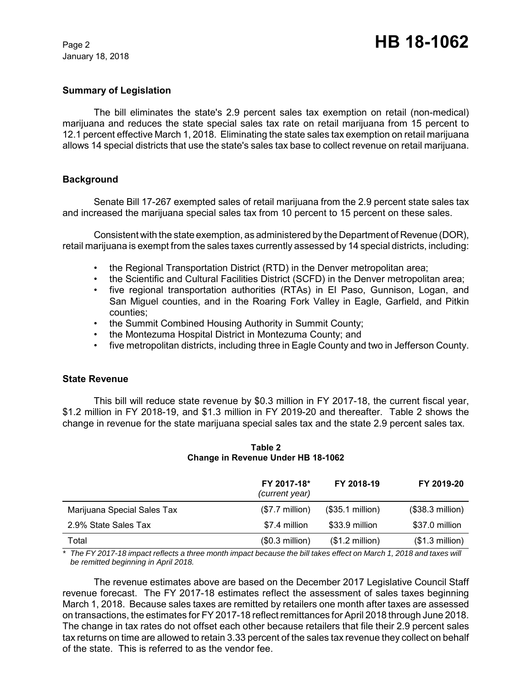## **Summary of Legislation**

The bill eliminates the state's 2.9 percent sales tax exemption on retail (non-medical) marijuana and reduces the state special sales tax rate on retail marijuana from 15 percent to 12.1 percent effective March 1, 2018. Eliminating the state sales tax exemption on retail marijuana allows 14 special districts that use the state's sales tax base to collect revenue on retail marijuana.

# **Background**

Senate Bill 17-267 exempted sales of retail marijuana from the 2.9 percent state sales tax and increased the marijuana special sales tax from 10 percent to 15 percent on these sales.

Consistent with the state exemption, as administered by the Department of Revenue (DOR), retail marijuana is exempt from the sales taxes currently assessed by 14 special districts, including:

- the Regional Transportation District (RTD) in the Denver metropolitan area;
- the Scientific and Cultural Facilities District (SCFD) in the Denver metropolitan area;
- five regional transportation authorities (RTAs) in El Paso, Gunnison, Logan, and San Miguel counties, and in the Roaring Fork Valley in Eagle, Garfield, and Pitkin counties;
- the Summit Combined Housing Authority in Summit County;
- the Montezuma Hospital District in Montezuma County; and
- five metropolitan districts, including three in Eagle County and two in Jefferson County.

## **State Revenue**

This bill will reduce state revenue by \$0.3 million in FY 2017-18, the current fiscal year, \$1.2 million in FY 2018-19, and \$1.3 million in FY 2019-20 and thereafter. Table 2 shows the change in revenue for the state marijuana special sales tax and the state 2.9 percent sales tax.

|                             | FY 2017-18*<br>(current year) | FY 2018-19       | FY 2019-20        |
|-----------------------------|-------------------------------|------------------|-------------------|
| Marijuana Special Sales Tax | $($7.7$ million)              | (\$35.1 million) | $($38.3$ million) |
| 2.9% State Sales Tax        | \$7.4 million                 | \$33.9 million   | \$37.0 million    |
| Total                       | $($0.3$ million)              | (\$1.2 million)  | $($1.3$ million)  |

#### **Table 2 Change in Revenue Under HB 18-1062**

*\* The FY 2017-18 impact reflects a three month impact because the bill takes effect on March 1, 2018 and taxes will be remitted beginning in April 2018.*

The revenue estimates above are based on the December 2017 Legislative Council Staff revenue forecast. The FY 2017-18 estimates reflect the assessment of sales taxes beginning March 1, 2018. Because sales taxes are remitted by retailers one month after taxes are assessed on transactions, the estimates for FY 2017-18 reflect remittances for April 2018 through June 2018. The change in tax rates do not offset each other because retailers that file their 2.9 percent sales tax returns on time are allowed to retain 3.33 percent of the sales tax revenue they collect on behalf of the state. This is referred to as the vendor fee.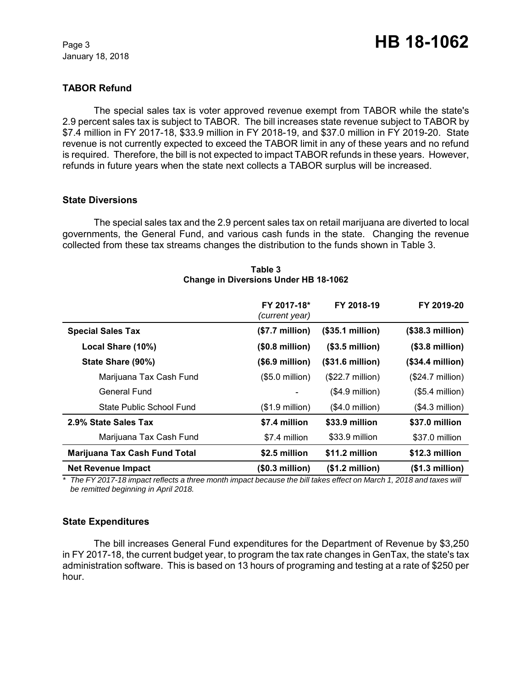# **TABOR Refund**

The special sales tax is voter approved revenue exempt from TABOR while the state's 2.9 percent sales tax is subject to TABOR. The bill increases state revenue subject to TABOR by \$7.4 million in FY 2017-18, \$33.9 million in FY 2018-19, and \$37.0 million in FY 2019-20. State revenue is not currently expected to exceed the TABOR limit in any of these years and no refund is required. Therefore, the bill is not expected to impact TABOR refunds in these years. However, refunds in future years when the state next collects a TABOR surplus will be increased.

#### **State Diversions**

The special sales tax and the 2.9 percent sales tax on retail marijuana are diverted to local governments, the General Fund, and various cash funds in the state. Changing the revenue collected from these tax streams changes the distribution to the funds shown in Table 3.

|                                      | FY 2017-18*<br>(current year) | FY 2018-19                | FY 2019-20                |
|--------------------------------------|-------------------------------|---------------------------|---------------------------|
| <b>Special Sales Tax</b>             | (\$7.7 million)               | (\$35.1 million)          | (\$38.3 million)          |
| Local Share (10%)                    | (\$0.8 million)               | $(S3.5$ million)          | $(S3.8$ million)          |
| State Share (90%)                    | $($.9 \text{ million})$       | (\$31.6 million)          | (\$34.4 million)          |
| Marijuana Tax Cash Fund              | $(S5.0 \text{ million})$      | $($22.7 \text{ million})$ | $($24.7 \text{ million})$ |
| General Fund                         |                               | $($4.9$ million)          | $($5.4$ million)          |
| State Public School Fund             | (\$1.9 million)               | $($4.0$ million)          | $(S4.3$ million)          |
| 2.9% State Sales Tax                 | \$7.4 million                 | \$33.9 million            | \$37.0 million            |
| Marijuana Tax Cash Fund              | \$7.4 million                 | \$33.9 million            | \$37.0 million            |
| <b>Marijuana Tax Cash Fund Total</b> | \$2.5 million                 | \$11.2 million            | \$12.3 million            |
| <b>Net Revenue Impact</b>            | (\$0.3 million)               | (\$1.2 million)           | (\$1.3 million)           |

#### **Table 3 Change in Diversions Under HB 18-1062**

*\* The FY 2017-18 impact reflects a three month impact because the bill takes effect on March 1, 2018 and taxes will be remitted beginning in April 2018.*

## **State Expenditures**

The bill increases General Fund expenditures for the Department of Revenue by \$3,250 in FY 2017-18, the current budget year, to program the tax rate changes in GenTax, the state's tax administration software. This is based on 13 hours of programing and testing at a rate of \$250 per hour.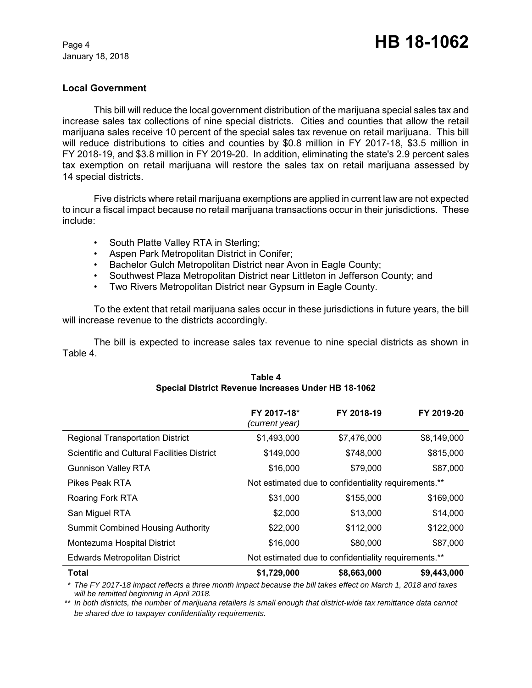# **Local Government**

This bill will reduce the local government distribution of the marijuana special sales tax and increase sales tax collections of nine special districts. Cities and counties that allow the retail marijuana sales receive 10 percent of the special sales tax revenue on retail marijuana. This bill will reduce distributions to cities and counties by \$0.8 million in FY 2017-18, \$3.5 million in FY 2018-19, and \$3.8 million in FY 2019-20. In addition, eliminating the state's 2.9 percent sales tax exemption on retail marijuana will restore the sales tax on retail marijuana assessed by 14 special districts.

Five districts where retail marijuana exemptions are applied in current law are not expected to incur a fiscal impact because no retail marijuana transactions occur in their jurisdictions. These include:

- South Platte Valley RTA in Sterling;
- Aspen Park Metropolitan District in Conifer;
- Bachelor Gulch Metropolitan District near Avon in Eagle County;
- Southwest Plaza Metropolitan District near Littleton in Jefferson County; and
- Two Rivers Metropolitan District near Gypsum in Eagle County.

To the extent that retail marijuana sales occur in these jurisdictions in future years, the bill will increase revenue to the districts accordingly.

The bill is expected to increase sales tax revenue to nine special districts as shown in Table 4.

|                                                    | FY 2017-18*<br>(current year)                        | FY 2018-19                                           | FY 2019-20  |
|----------------------------------------------------|------------------------------------------------------|------------------------------------------------------|-------------|
| <b>Regional Transportation District</b>            | \$1,493,000                                          | \$7,476,000                                          | \$8,149,000 |
| <b>Scientific and Cultural Facilities District</b> | \$149,000                                            | \$748,000                                            | \$815,000   |
| <b>Gunnison Valley RTA</b>                         | \$16,000                                             | \$79,000                                             | \$87,000    |
| <b>Pikes Peak RTA</b>                              |                                                      | Not estimated due to confidentiality requirements.** |             |
| Roaring Fork RTA                                   | \$31,000                                             | \$155,000                                            | \$169,000   |
| San Miguel RTA                                     | \$2,000                                              | \$13,000                                             | \$14,000    |
| <b>Summit Combined Housing Authority</b>           | \$22,000                                             | \$112,000                                            | \$122,000   |
| Montezuma Hospital District                        | \$16,000                                             | \$80,000                                             | \$87,000    |
| <b>Edwards Metropolitan District</b>               | Not estimated due to confidentiality requirements.** |                                                      |             |
| Total                                              | \$1,729,000                                          | \$8,663,000                                          | \$9,443,000 |

# **Table 4 Special District Revenue Increases Under HB 18-1062**

*\* The FY 2017-18 impact reflects a three month impact because the bill takes effect on March 1, 2018 and taxes will be remitted beginning in April 2018.*

*\*\* In both districts, the number of marijuana retailers is small enough that district-wide tax remittance data cannot be shared due to taxpayer confidentiality requirements.*